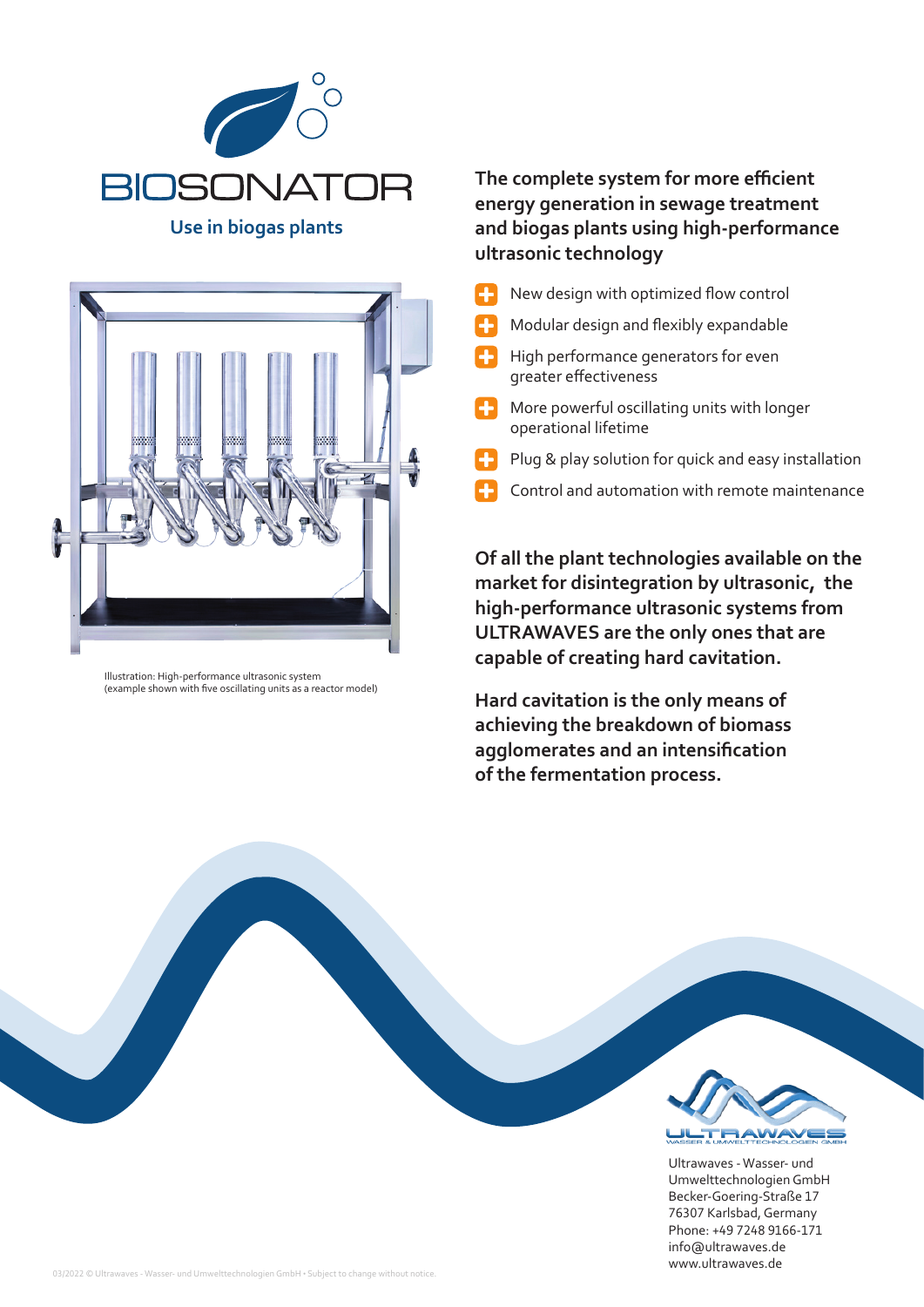

**Use in biogas plants**



Illustration: High-performance ultrasonic system (example shown with five oscillating units as a reactor model)

## **The complete system for more efficient energy generation in sewage treatment and biogas plants using high-performance ultrasonic technology**

- New design with optimized flow control
- Modular design and flexibly expandable
- $\Box$  High performance generators for even greater effectiveness
- More powerful oscillating units with longer operational lifetime
- Plug & play solution for quick and easy installation
- Control and automation with remote maintenance

**Of all the plant technologies available on the market for disintegration by ultrasonic, the high-performance ultrasonic systems from ULTRAWAVES are the only ones that are capable of creating hard cavitation.**

**Hard cavitation is the only means of achieving the breakdown of biomass agglomerates and an intensification of the fermentation process.**



Ultrawaves - Wasser- und Umwelttechnologien GmbH Becker-Goering-Straße 17 76307 Karlsbad, Germany Phone: +49 7248 9166-171 info@ultrawaves.de www.ultrawaves.de